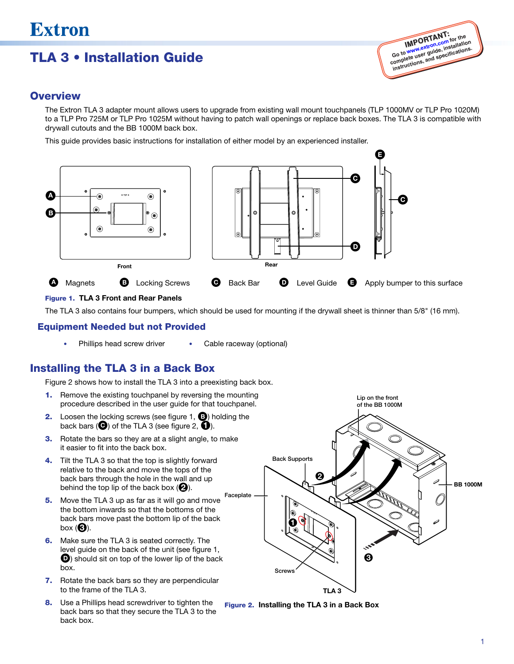# TLA 3 • Installation Guide



### **Overview**

The Extron TLA 3 adapter mount allows users to upgrade from existing wall mount touchpanels (TLP 1000MV or TLP Pro 1020M) to a TLP Pro 725M or TLP Pro 1025M without having to patch wall openings or replace back boxes. The TLA 3 is compatible with drywall cutouts and the BB 1000M back box.

This guide provides basic instructions for installation of either model by an experienced installer.



#### Figure 1. TLA 3 Front and Rear Panels

The TLA 3 also contains four bumpers, which should be used for mounting if the drywall sheet is thinner than 5/8" (16 mm).

#### Equipment Needed but not Provided

Phillips head screw driver • Cable raceway (optional)

### Installing the TLA 3 in a Back Box

Figure 2 shows how to install the TLA 3 into a preexisting back box.

- **1.** Remove the existing touchpanel by reversing the mounting procedure described in the user guide for that touchpanel.
- **2.** Loosen the locking screws (see figure 1, **B**) holding the back bars  $\left( \bigodot \right)$  of the TLA 3 (see figure 2,  $\bigodot$ ).
- **3.** Rotate the bars so they are at a slight angle, to make it easier to fit into the back box.
- 4. Tilt the TLA 3 so that the top is slightly forward relative to the back and move the tops of the back bars through the hole in the wall and up behind the top lip of the back box  $(2)$ .
- 5. Move the TLA 3 up as far as it will go and move the bottom inwards so that the bottoms of the back bars move past the bottom lip of the back box  $\mathbf{G}$ ).
- **6.** Make sure the TLA 3 is seated correctly. The level guide on the back of the unit (see figure 1, **D**) should sit on top of the lower lip of the back box.
- 7. Rotate the back bars so they are perpendicular to the frame of the TLA 3.
- 8. Use a Phillips head screwdriver to tighten the back bars so that they secure the TLA 3 to the back box.



Figure 2. Installing the TLA 3 in a Back Box